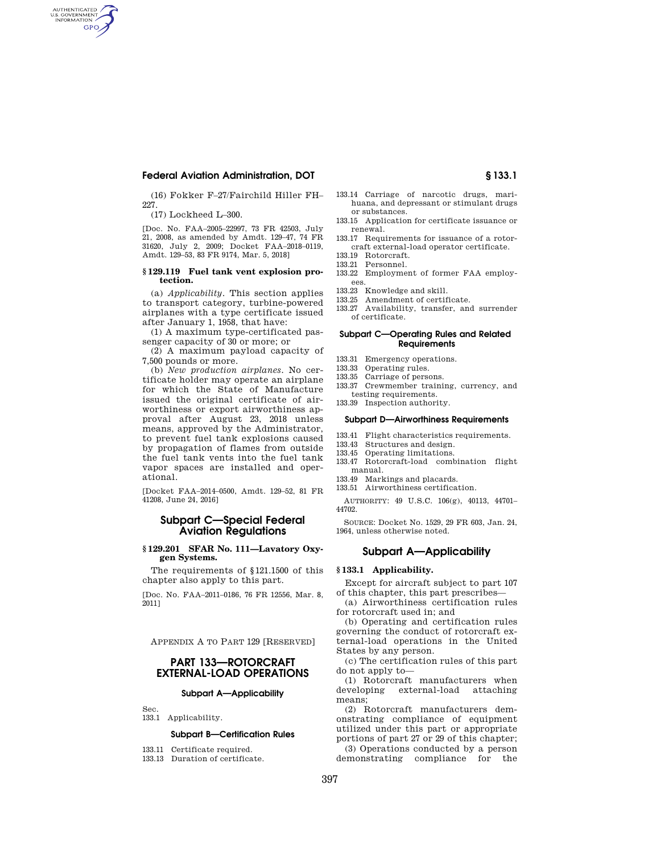(16) Fokker F–27/Fairchild Hiller FH– 227.

(17) Lockheed L–300.

AUTHENTICATED<br>U.S. GOVERNMENT<br>INFORMATION GPO

> [Doc. No. FAA–2005–22997, 73 FR 42503, July 21, 2008, as amended by Amdt. 129–47, 74 FR 31620, July 2, 2009; Docket FAA–2018–0119, Amdt. 129–53, 83 FR 9174, Mar. 5, 2018]

#### **§ 129.119 Fuel tank vent explosion protection.**

(a) *Applicability.* This section applies to transport category, turbine-powered airplanes with a type certificate issued after January 1, 1958, that have:

(1) A maximum type-certificated passenger capacity of 30 or more; or

(2) A maximum payload capacity of 7,500 pounds or more.

(b) *New production airplanes.* No certificate holder may operate an airplane for which the State of Manufacture issued the original certificate of airworthiness or export airworthiness approval after August 23, 2018 unless means, approved by the Administrator, to prevent fuel tank explosions caused by propagation of flames from outside the fuel tank vents into the fuel tank vapor spaces are installed and operational.

[Docket FAA–2014–0500, Amdt. 129–52, 81 FR 41208, June 24, 2016]

# **Subpart C—Special Federal Aviation Regulations**

## **§ 129.201 SFAR No. 111—Lavatory Oxygen Systems.**

The requirements of §121.1500 of this chapter also apply to this part.

[Doc. No. FAA–2011–0186, 76 FR 12556, Mar. 8, 2011]

APPENDIX A TO PART 129 [RESERVED]

# **PART 133—ROTORCRAFT EXTERNAL-LOAD OPERATIONS**

## **Subpart A—Applicability**

133.1 Applicability.

Sec.

### **Subpart B—Certification Rules**

- 133.11 Certificate required.
- 133.13 Duration of certificate.
- 133.14 Carriage of narcotic drugs, marihuana, and depressant or stimulant drugs or substances.
- 133.15 Application for certificate issuance or renewal.
- 133.17 Requirements for issuance of a rotorcraft external-load operator certificate.
- 133.19 Rotorcraft.
- 133.21 Personnel.
- 133.22 Employment of former FAA employees.
- 133.23 Knowledge and skill.
- 133.25 Amendment of certificate.
- 133.27 Availability, transfer, and surrender of certificate.

## **Subpart C—Operating Rules and Related Requirements**

- 133.31 Emergency operations.
- 133.33 Operating rules.
- 133.35 Carriage of persons.
- 133.37 Crewmember training, currency, and testing requirements.
- 133.39 Inspection authority.

#### **Subpart D—Airworthiness Requirements**

- 133.41 Flight characteristics requirements.
- 133.43 Structures and design.<br>133.45 Operating limitations.
- Operating limitations.
- 133.47 Rotorcraft-load combination flight manual.
- 133.49 Markings and placards.
- 133.51 Airworthiness certification.

AUTHORITY: 49 U.S.C. 106(g), 40113, 44701– 44702.

SOURCE: Docket No. 1529, 29 FR 603, Jan. 24, 1964, unless otherwise noted.

# **Subpart A—Applicability**

# **§ 133.1 Applicability.**

Except for aircraft subject to part 107 of this chapter, this part prescribes—

(a) Airworthiness certification rules for rotorcraft used in; and

(b) Operating and certification rules governing the conduct of rotorcraft external-load operations in the United States by any person.

(c) The certification rules of this part do not apply to—

(1) Rotorcraft manufacturers when developing external-load attaching means;

(2) Rotorcraft manufacturers demonstrating compliance of equipment utilized under this part or appropriate portions of part 27 or 29 of this chapter; (3) Operations conducted by a person demonstrating compliance for the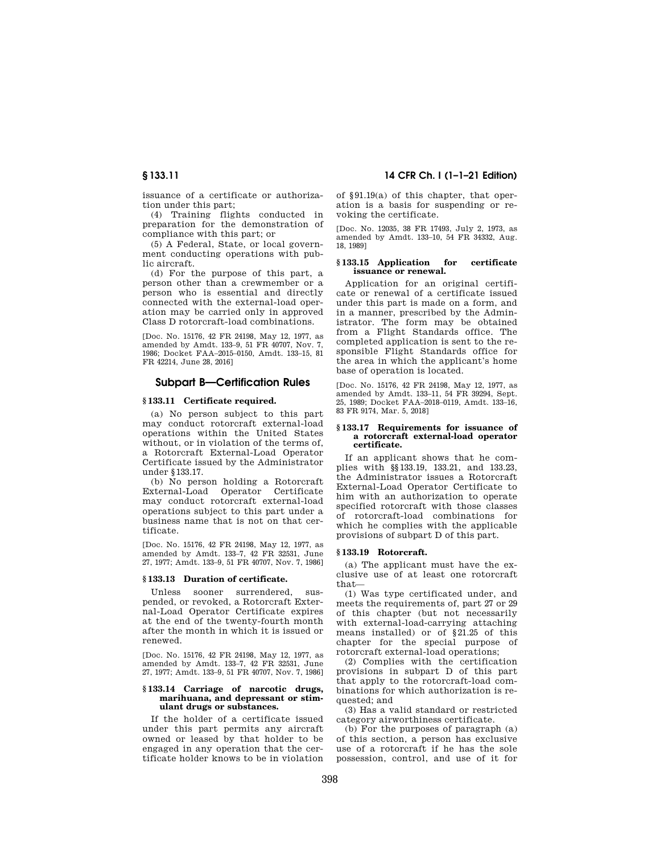issuance of a certificate or authorization under this part;

(4) Training flights conducted in preparation for the demonstration of compliance with this part; or

(5) A Federal, State, or local government conducting operations with public aircraft.

(d) For the purpose of this part, a person other than a crewmember or a person who is essential and directly connected with the external-load operation may be carried only in approved Class D rotorcraft-load combinations.

[Doc. No. 15176, 42 FR 24198, May 12, 1977, as amended by Amdt. 133–9, 51 FR 40707, Nov. 7, 1986; Docket FAA–2015–0150, Amdt. 133–15, 81 FR 42214, June 28, 2016]

# **Subpart B—Certification Rules**

#### **§ 133.11 Certificate required.**

(a) No person subject to this part may conduct rotorcraft external-load operations within the United States without, or in violation of the terms of, a Rotorcraft External-Load Operator Certificate issued by the Administrator under §133.17.

(b) No person holding a Rotorcraft External-Load Operator Certificate may conduct rotorcraft external-load operations subject to this part under a business name that is not on that certificate.

[Doc. No. 15176, 42 FR 24198, May 12, 1977, as amended by Amdt. 133–7, 42 FR 32531, June 27, 1977; Amdt. 133–9, 51 FR 40707, Nov. 7, 1986]

### **§ 133.13 Duration of certificate.**

Unless sooner surrendered, suspended, or revoked, a Rotorcraft External-Load Operator Certificate expires at the end of the twenty-fourth month after the month in which it is issued or renewed.

[Doc. No. 15176, 42 FR 24198, May 12, 1977, as amended by Amdt. 133–7, 42 FR 32531, June 27, 1977; Amdt. 133–9, 51 FR 40707, Nov. 7, 1986]

#### **§ 133.14 Carriage of narcotic drugs, marihuana, and depressant or stimulant drugs or substances.**

If the holder of a certificate issued under this part permits any aircraft owned or leased by that holder to be engaged in any operation that the certificate holder knows to be in violation

# **§ 133.11 14 CFR Ch. I (1–1–21 Edition)**

of §91.19(a) of this chapter, that operation is a basis for suspending or revoking the certificate.

[Doc. No. 12035, 38 FR 17493, July 2, 1973, as amended by Amdt. 133–10, 54 FR 34332, Aug. 18, 1989]

## **§ 133.15 Application for certificate issuance or renewal.**

Application for an original certificate or renewal of a certificate issued under this part is made on a form, and in a manner, prescribed by the Administrator. The form may be obtained from a Flight Standards office. The completed application is sent to the responsible Flight Standards office for the area in which the applicant's home base of operation is located.

[Doc. No. 15176, 42 FR 24198, May 12, 1977, as amended by Amdt. 133–11, 54 FR 39294, Sept. 25, 1989; Docket FAA–2018–0119, Amdt. 133–16, 83 FR 9174, Mar. 5, 2018]

#### **§ 133.17 Requirements for issuance of a rotorcraft external-load operator certificate.**

If an applicant shows that he complies with §§133.19, 133.21, and 133.23, the Administrator issues a Rotorcraft External-Load Operator Certificate to him with an authorization to operate specified rotorcraft with those classes of rotorcraft-load combinations for which he complies with the applicable provisions of subpart D of this part.

## **§ 133.19 Rotorcraft.**

(a) The applicant must have the exclusive use of at least one rotorcraft that—

(1) Was type certificated under, and meets the requirements of, part 27 or 29 of this chapter (but not necessarily with external-load-carrying attaching means installed) or of §21.25 of this chapter for the special purpose of rotorcraft external-load operations;

(2) Complies with the certification provisions in subpart D of this part that apply to the rotorcraft-load combinations for which authorization is requested; and

(3) Has a valid standard or restricted category airworthiness certificate.

(b) For the purposes of paragraph (a) of this section, a person has exclusive use of a rotorcraft if he has the sole possession, control, and use of it for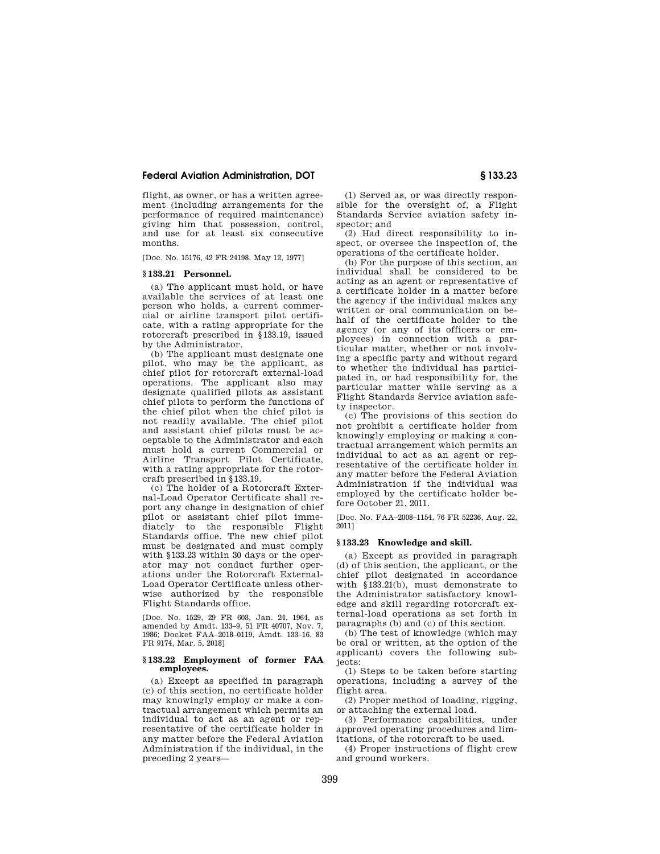flight, as owner, or has a written agreement (including arrangements for the performance of required maintenance) giving him that possession, control, and use for at least six consecutive months.

[Doc. No. 15176, 42 FR 24198, May 12, 1977]

# **§ 133.21 Personnel.**

(a) The applicant must hold, or have available the services of at least one person who holds, a current commercial or airline transport pilot certificate, with a rating appropriate for the rotorcraft prescribed in §133.19, issued by the Administrator.

(b) The applicant must designate one pilot, who may be the applicant, as chief pilot for rotorcraft external-load operations. The applicant also may designate qualified pilots as assistant chief pilots to perform the functions of the chief pilot when the chief pilot is not readily available. The chief pilot and assistant chief pilots must be acceptable to the Administrator and each must hold a current Commercial or Airline Transport Pilot Certificate, with a rating appropriate for the rotorcraft prescribed in §133.19.

(c) The holder of a Rotorcraft External-Load Operator Certificate shall report any change in designation of chief pilot or assistant chief pilot immediately to the responsible Flight Standards office. The new chief pilot must be designated and must comply with §133.23 within 30 days or the operator may not conduct further operations under the Rotorcraft External-Load Operator Certificate unless otherwise authorized by the responsible Flight Standards office.

[Doc. No. 1529, 29 FR 603, Jan. 24, 1964, as amended by Amdt. 133–9, 51 FR 40707, Nov. 7, 1986; Docket FAA–2018–0119, Amdt. 133–16, 83 FR 9174, Mar. 5, 2018]

### **§ 133.22 Employment of former FAA employees.**

(a) Except as specified in paragraph (c) of this section, no certificate holder may knowingly employ or make a contractual arrangement which permits an individual to act as an agent or representative of the certificate holder in any matter before the Federal Aviation Administration if the individual, in the preceding 2 years—

(1) Served as, or was directly responsible for the oversight of, a Flight Standards Service aviation safety inspector; and

(2) Had direct responsibility to inspect, or oversee the inspection of, the operations of the certificate holder.

(b) For the purpose of this section, an individual shall be considered to be acting as an agent or representative of a certificate holder in a matter before the agency if the individual makes any written or oral communication on behalf of the certificate holder to the agency (or any of its officers or employees) in connection with a particular matter, whether or not involving a specific party and without regard to whether the individual has participated in, or had responsibility for, the particular matter while serving as a Flight Standards Service aviation safety inspector.

(c) The provisions of this section do not prohibit a certificate holder from knowingly employing or making a contractual arrangement which permits an individual to act as an agent or representative of the certificate holder in any matter before the Federal Aviation Administration if the individual was employed by the certificate holder before October 21, 2011.

[Doc. No. FAA–2008–1154, 76 FR 52236, Aug. 22, 2011]

#### **§ 133.23 Knowledge and skill.**

(a) Except as provided in paragraph (d) of this section, the applicant, or the chief pilot designated in accordance with §133.21(b), must demonstrate to the Administrator satisfactory knowledge and skill regarding rotorcraft external-load operations as set forth in paragraphs (b) and (c) of this section.

(b) The test of knowledge (which may be oral or written, at the option of the applicant) covers the following subjects:

(1) Steps to be taken before starting operations, including a survey of the flight area.

(2) Proper method of loading, rigging, or attaching the external load.

(3) Performance capabilities, under approved operating procedures and limitations, of the rotorcraft to be used.

(4) Proper instructions of flight crew and ground workers.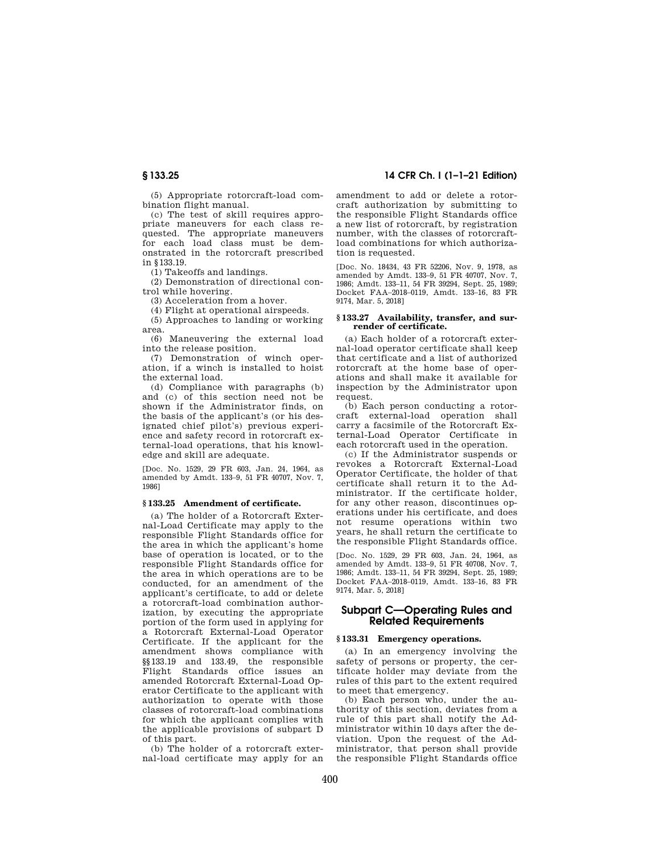(5) Appropriate rotorcraft-load combination flight manual.

(c) The test of skill requires appropriate maneuvers for each class requested. The appropriate maneuvers for each load class must be demonstrated in the rotorcraft prescribed in §133.19.

(1) Takeoffs and landings.

(2) Demonstration of directional control while hovering.

(3) Acceleration from a hover.

(4) Flight at operational airspeeds.

(5) Approaches to landing or working area.

(6) Maneuvering the external load into the release position.

(7) Demonstration of winch operation, if a winch is installed to hoist the external load.

(d) Compliance with paragraphs (b) and (c) of this section need not be shown if the Administrator finds, on the basis of the applicant's (or his designated chief pilot's) previous experience and safety record in rotorcraft external-load operations, that his knowledge and skill are adequate.

[Doc. No. 1529, 29 FR 603, Jan. 24, 1964, as amended by Amdt. 133–9, 51 FR 40707, Nov. 7, 1986]

## **§ 133.25 Amendment of certificate.**

(a) The holder of a Rotorcraft External-Load Certificate may apply to the responsible Flight Standards office for the area in which the applicant's home base of operation is located, or to the responsible Flight Standards office for the area in which operations are to be conducted, for an amendment of the applicant's certificate, to add or delete a rotorcraft-load combination authorization, by executing the appropriate portion of the form used in applying for a Rotorcraft External-Load Operator Certificate. If the applicant for the amendment shows compliance with §§133.19 and 133.49, the responsible Flight Standards office issues an amended Rotorcraft External-Load Operator Certificate to the applicant with authorization to operate with those classes of rotorcraft-load combinations for which the applicant complies with the applicable provisions of subpart D of this part.

(b) The holder of a rotorcraft external-load certificate may apply for an

**§ 133.25 14 CFR Ch. I (1–1–21 Edition)** 

amendment to add or delete a rotorcraft authorization by submitting to the responsible Flight Standards office a new list of rotorcraft, by registration number, with the classes of rotorcraftload combinations for which authorization is requested.

[Doc. No. 18434, 43 FR 52206, Nov. 9, 1978, as amended by Amdt. 133–9, 51 FR 40707, Nov. 7, 1986; Amdt. 133–11, 54 FR 39294, Sept. 25, 1989; Docket FAA–2018–0119, Amdt. 133–16, 83 FR 9174, Mar. 5, 2018]

#### **§ 133.27 Availability, transfer, and surrender of certificate.**

(a) Each holder of a rotorcraft external-load operator certificate shall keep that certificate and a list of authorized rotorcraft at the home base of operations and shall make it available for inspection by the Administrator upon request.

(b) Each person conducting a rotorcraft external-load operation shall carry a facsimile of the Rotorcraft External-Load Operator Certificate in each rotorcraft used in the operation.

(c) If the Administrator suspends or revokes a Rotorcraft External-Load Operator Certificate, the holder of that certificate shall return it to the Administrator. If the certificate holder, for any other reason, discontinues operations under his certificate, and does not resume operations within two years, he shall return the certificate to the responsible Flight Standards office.

[Doc. No. 1529, 29 FR 603, Jan. 24, 1964, as amended by Amdt. 133–9, 51 FR 40708, Nov. 7, 1986; Amdt. 133–11, 54 FR 39294, Sept. 25, 1989; Docket FAA–2018–0119, Amdt. 133–16, 83 FR 9174, Mar. 5, 2018]

# **Subpart C—Operating Rules and Related Requirements**

## **§ 133.31 Emergency operations.**

(a) In an emergency involving the safety of persons or property, the certificate holder may deviate from the rules of this part to the extent required to meet that emergency.

(b) Each person who, under the authority of this section, deviates from a rule of this part shall notify the Administrator within 10 days after the deviation. Upon the request of the Administrator, that person shall provide the responsible Flight Standards office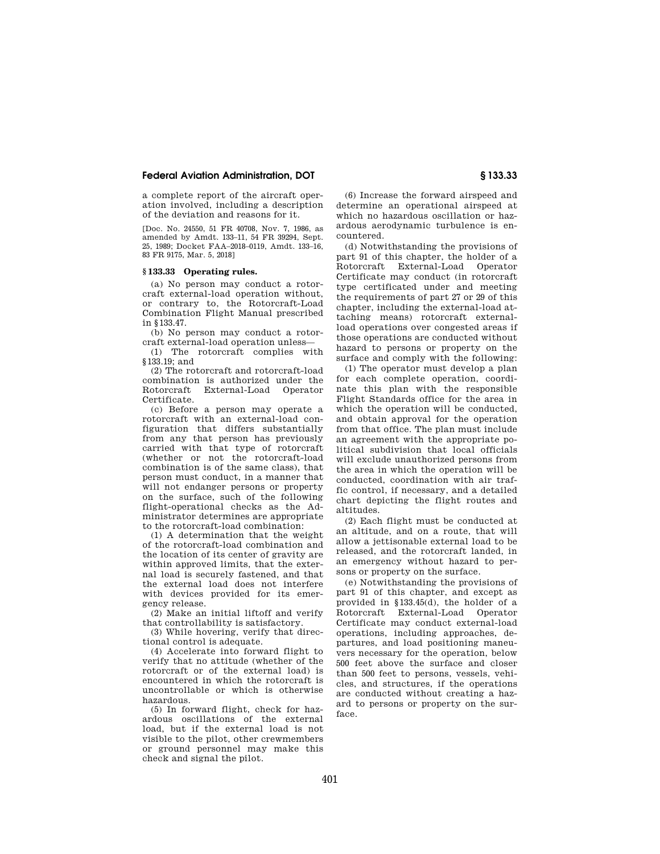a complete report of the aircraft operation involved, including a description of the deviation and reasons for it.

[Doc. No. 24550, 51 FR 40708, Nov. 7, 1986, as amended by Amdt. 133–11, 54 FR 39294, Sept. 25, 1989; Docket FAA–2018–0119, Amdt. 133–16, 83 FR 9175, Mar. 5, 2018]

# **§ 133.33 Operating rules.**

(a) No person may conduct a rotorcraft external-load operation without, or contrary to, the Rotorcraft-Load Combination Flight Manual prescribed in §133.47.

(b) No person may conduct a rotorcraft external-load operation unless—

(1) The rotorcraft complies with §133.19; and

(2) The rotorcraft and rotorcraft-load combination is authorized under the Rotorcraft External-Load Operator Certificate.

(c) Before a person may operate a rotorcraft with an external-load configuration that differs substantially from any that person has previously carried with that type of rotorcraft (whether or not the rotorcraft-load combination is of the same class), that person must conduct, in a manner that will not endanger persons or property on the surface, such of the following flight-operational checks as the Administrator determines are appropriate to the rotorcraft-load combination:

(1) A determination that the weight of the rotorcraft-load combination and the location of its center of gravity are within approved limits, that the external load is securely fastened, and that the external load does not interfere with devices provided for its emergency release.

(2) Make an initial liftoff and verify that controllability is satisfactory.

(3) While hovering, verify that directional control is adequate.

(4) Accelerate into forward flight to verify that no attitude (whether of the rotorcraft or of the external load) is encountered in which the rotorcraft is uncontrollable or which is otherwise hazardous.

(5) In forward flight, check for hazardous oscillations of the external load, but if the external load is not visible to the pilot, other crewmembers or ground personnel may make this check and signal the pilot.

(6) Increase the forward airspeed and determine an operational airspeed at which no hazardous oscillation or hazardous aerodynamic turbulence is encountered.

(d) Notwithstanding the provisions of part 91 of this chapter, the holder of a Rotorcraft External-Load Operator Certificate may conduct (in rotorcraft type certificated under and meeting the requirements of part 27 or 29 of this chapter, including the external-load attaching means) rotorcraft externalload operations over congested areas if those operations are conducted without hazard to persons or property on the surface and comply with the following:

(1) The operator must develop a plan for each complete operation, coordinate this plan with the responsible Flight Standards office for the area in which the operation will be conducted, and obtain approval for the operation from that office. The plan must include an agreement with the appropriate political subdivision that local officials will exclude unauthorized persons from the area in which the operation will be conducted, coordination with air traffic control, if necessary, and a detailed chart depicting the flight routes and altitudes.

(2) Each flight must be conducted at an altitude, and on a route, that will allow a jettisonable external load to be released, and the rotorcraft landed, in an emergency without hazard to persons or property on the surface.

(e) Notwithstanding the provisions of part 91 of this chapter, and except as provided in §133.45(d), the holder of a Rotorcraft External-Load Operator Certificate may conduct external-load operations, including approaches, departures, and load positioning maneuvers necessary for the operation, below 500 feet above the surface and closer than 500 feet to persons, vessels, vehicles, and structures, if the operations are conducted without creating a hazard to persons or property on the surface.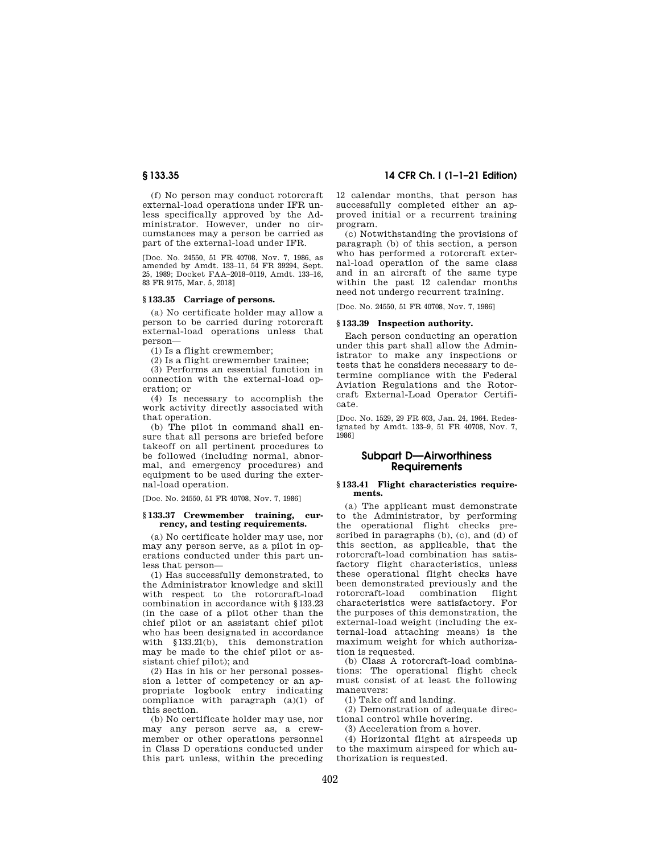(f) No person may conduct rotorcraft external-load operations under IFR unless specifically approved by the Administrator. However, under no circumstances may a person be carried as part of the external-load under IFR.

[Doc. No. 24550, 51 FR 40708, Nov. 7, 1986, as amended by Amdt. 133–11, 54 FR 39294, Sept. 25, 1989; Docket FAA–2018–0119, Amdt. 133–16, 83 FR 9175, Mar. 5, 2018]

# **§ 133.35 Carriage of persons.**

(a) No certificate holder may allow a person to be carried during rotorcraft external-load operations unless that person—

(1) Is a flight crewmember;

(2) Is a flight crewmember trainee;

(3) Performs an essential function in connection with the external-load operation; or

(4) Is necessary to accomplish the work activity directly associated with that operation.

(b) The pilot in command shall ensure that all persons are briefed before takeoff on all pertinent procedures to be followed (including normal, abnormal, and emergency procedures) and equipment to be used during the external-load operation.

[Doc. No. 24550, 51 FR 40708, Nov. 7, 1986]

## **§ 133.37 Crewmember training, currency, and testing requirements.**

(a) No certificate holder may use, nor may any person serve, as a pilot in operations conducted under this part unless that person—

(1) Has successfully demonstrated, to the Administrator knowledge and skill with respect to the rotorcraft-load combination in accordance with §133.23 (in the case of a pilot other than the chief pilot or an assistant chief pilot who has been designated in accordance with §133.21(b), this demonstration may be made to the chief pilot or assistant chief pilot); and

(2) Has in his or her personal possession a letter of competency or an appropriate logbook entry indicating compliance with paragraph (a)(1) of this section.

(b) No certificate holder may use, nor may any person serve as, a crewmember or other operations personnel in Class D operations conducted under this part unless, within the preceding

# **§ 133.35 14 CFR Ch. I (1–1–21 Edition)**

12 calendar months, that person has successfully completed either an approved initial or a recurrent training program.

(c) Notwithstanding the provisions of paragraph (b) of this section, a person who has performed a rotorcraft external-load operation of the same class and in an aircraft of the same type within the past 12 calendar months need not undergo recurrent training.

[Doc. No. 24550, 51 FR 40708, Nov. 7, 1986]

#### **§ 133.39 Inspection authority.**

Each person conducting an operation under this part shall allow the Administrator to make any inspections or tests that he considers necessary to determine compliance with the Federal Aviation Regulations and the Rotorcraft External-Load Operator Certificate.

[Doc. No. 1529, 29 FR 603, Jan. 24, 1964. Redesignated by Amdt. 133–9, 51 FR 40708, Nov. 7, 1986]

# **Subpart D—Airworthiness Requirements**

## **§ 133.41 Flight characteristics requirements.**

(a) The applicant must demonstrate to the Administrator, by performing the operational flight checks prescribed in paragraphs (b), (c), and (d) of this section, as applicable, that the rotorcraft-load combination has satisfactory flight characteristics, unless these operational flight checks have been demonstrated previously and the rotorcraft-load combination flight characteristics were satisfactory. For the purposes of this demonstration, the external-load weight (including the external-load attaching means) is the maximum weight for which authorization is requested.

(b) Class A rotorcraft-load combinations: The operational flight check must consist of at least the following maneuvers:

(1) Take off and landing.

(2) Demonstration of adequate directional control while hovering.

(3) Acceleration from a hover.

(4) Horizontal flight at airspeeds up to the maximum airspeed for which authorization is requested.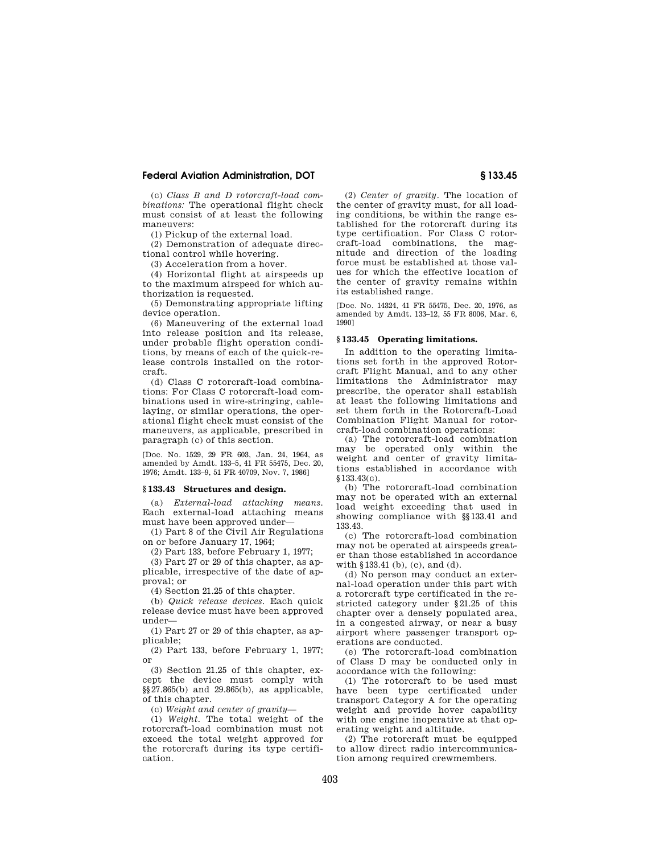(c) *Class B and D rotorcraft-load combinations:* The operational flight check must consist of at least the following maneuvers:

(1) Pickup of the external load.

(2) Demonstration of adequate directional control while hovering.

(3) Acceleration from a hover.

(4) Horizontal flight at airspeeds up to the maximum airspeed for which authorization is requested.

(5) Demonstrating appropriate lifting device operation.

(6) Maneuvering of the external load into release position and its release, under probable flight operation conditions, by means of each of the quick-release controls installed on the rotorcraft.

(d) Class C rotorcraft-load combinations: For Class C rotorcraft-load combinations used in wire-stringing, cablelaying, or similar operations, the operational flight check must consist of the maneuvers, as applicable, prescribed in paragraph (c) of this section.

[Doc. No. 1529, 29 FR 603, Jan. 24, 1964, as amended by Amdt. 133–5, 41 FR 55475, Dec. 20, 1976; Amdt. 133–9, 51 FR 40709, Nov. 7, 1986]

#### **§ 133.43 Structures and design.**

(a) *External-load attaching means.*  Each external-load attaching means must have been approved under—

(1) Part 8 of the Civil Air Regulations on or before January 17, 1964;

(2) Part 133, before February 1, 1977;

(3) Part 27 or 29 of this chapter, as applicable, irrespective of the date of approval; or

(4) Section 21.25 of this chapter.

(b) *Quick release devices.* Each quick release device must have been approved under—

(1) Part 27 or 29 of this chapter, as applicable;

(2) Part 133, before February 1, 1977; or

(3) Section 21.25 of this chapter, except the device must comply with §§27.865(b) and 29.865(b), as applicable, of this chapter.

(c) *Weight and center of gravity*—

(1) *Weight.* The total weight of the rotorcraft-load combination must not exceed the total weight approved for the rotorcraft during its type certification.

(2) *Center of gravity.* The location of the center of gravity must, for all loading conditions, be within the range established for the rotorcraft during its type certification. For Class C rotorcraft-load combinations, the magnitude and direction of the loading force must be established at those values for which the effective location of the center of gravity remains within its established range.

[Doc. No. 14324, 41 FR 55475, Dec. 20, 1976, as amended by Amdt. 133–12, 55 FR 8006, Mar. 6, 1990]

## **§ 133.45 Operating limitations.**

In addition to the operating limitations set forth in the approved Rotorcraft Flight Manual, and to any other limitations the Administrator may prescribe, the operator shall establish at least the following limitations and set them forth in the Rotorcraft-Load Combination Flight Manual for rotorcraft-load combination operations:

(a) The rotorcraft-load combination may be operated only within the weight and center of gravity limitations established in accordance with §133.43(c).

(b) The rotorcraft-load combination may not be operated with an external load weight exceeding that used in showing compliance with §§133.41 and 133.43.

(c) The rotorcraft-load combination may not be operated at airspeeds greater than those established in accordance with §133.41 (b), (c), and (d).

(d) No person may conduct an external-load operation under this part with a rotorcraft type certificated in the restricted category under §21.25 of this chapter over a densely populated area, in a congested airway, or near a busy airport where passenger transport operations are conducted.

(e) The rotorcraft-load combination of Class D may be conducted only in accordance with the following:

(1) The rotorcraft to be used must have been type certificated under transport Category A for the operating weight and provide hover capability with one engine inoperative at that operating weight and altitude.

(2) The rotorcraft must be equipped to allow direct radio intercommunication among required crewmembers.